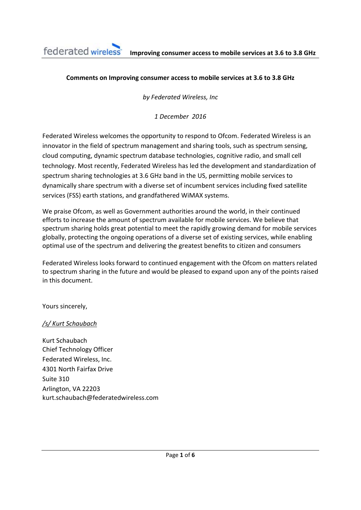## **Comments on Improving consumer access to mobile services at 3.6 to 3.8 GHz**

*by Federated Wireless, Inc*

*1 December 2016*

Federated Wireless welcomes the opportunity to respond to Ofcom. Federated Wireless is an innovator in the field of spectrum management and sharing tools, such as spectrum sensing, cloud computing, dynamic spectrum database technologies, cognitive radio, and small cell technology. Most recently, Federated Wireless has led the development and standardization of spectrum sharing technologies at 3.6 GHz band in the US, permitting mobile services to dynamically share spectrum with a diverse set of incumbent services including fixed satellite services (FSS) earth stations, and grandfathered WiMAX systems.

We praise Ofcom, as well as Government authorities around the world, in their continued efforts to increase the amount of spectrum available for mobile services. We believe that spectrum sharing holds great potential to meet the rapidly growing demand for mobile services globally, protecting the ongoing operations of a diverse set of existing services, while enabling optimal use of the spectrum and delivering the greatest benefits to citizen and consumers

Federated Wireless looks forward to continued engagement with the Ofcom on matters related to spectrum sharing in the future and would be pleased to expand upon any of the points raised in this document.

Yours sincerely,

## */s/ Kurt Schaubach*

Kurt Schaubach Chief Technology Officer Federated Wireless, Inc. 4301 North Fairfax Drive Suite 310 Arlington, VA 22203 kurt.schaubach@federatedwireless.com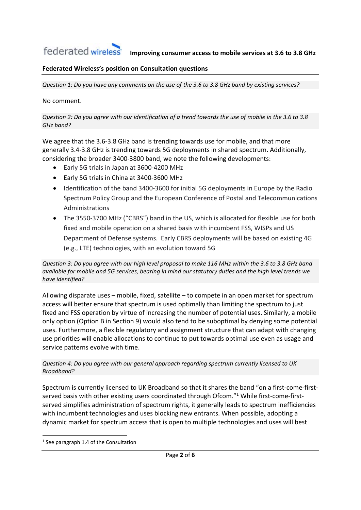## **Federated Wireless's position on Consultation questions**

Question 1: Do you have any comments on the use of the 3.6 to 3.8 GHz band by existing services?

#### No comment.

Question 2: Do you agree with our identification of a trend towards the use of mobile in the 3.6 to 3.8 *GHz band?*

We agree that the 3.6-3.8 GHz band is trending towards use for mobile, and that more generally 3.4‐3.8 GHz is trending towards 5G deployments in shared spectrum. Additionally, considering the broader 3400‐3800 band, we note the following developments:

- Early 5G trials in Japan at 3600‐4200 MHz
- Early 5G trials in China at 3400‐3600 MHz
- Identification of the band 3400-3600 for initial 5G deployments in Europe by the Radio Spectrum Policy Group and the European Conference of Postal and Telecommunications Administrations
- The 3550‐3700 MHz ("CBRS") band in the US, which is allocated for flexible use for both fixed and mobile operation on a shared basis with incumbent FSS, WISPs and US Department of Defense systems. Early CBRS deployments will be based on existing 4G (e.g., LTE) technologies, with an evolution toward 5G

Question 3: Do you agree with our high level proposal to make 116 MHz within the 3.6 to 3.8 GHz band available for mobile and 5G services, bearing in mind our statutory duties and the high level trends we *have identified?* 

Allowing disparate uses – mobile, fixed, satellite – to compete in an open market for spectrum access will better ensure that spectrum is used optimally than limiting the spectrum to just fixed and FSS operation by virtue of increasing the number of potential uses. Similarly, a mobile only option (Option B in Section 9) would also tend to be suboptimal by denying some potential uses. Furthermore, a flexible regulatory and assignment structure that can adapt with changing use priorities will enable allocations to continue to put towards optimal use even as usage and service patterns evolve with time.

#### *Question 4: Do you agree with our general approach regarding spectrum currently licensed to UK Broadband?*

Spectrum is currently licensed to UK Broadband so that it shares the band "on a first‐come‐first‐ served basis with other existing users coordinated through Ofcom."<sup>1</sup> While first-come-firstserved simplifies administration of spectrum rights, it generally leads to spectrum inefficiencies with incumbent technologies and uses blocking new entrants. When possible, adopting a dynamic market for spectrum access that is open to multiple technologies and uses will best

<sup>&</sup>lt;sup>1</sup> See paragraph 1.4 of the Consultation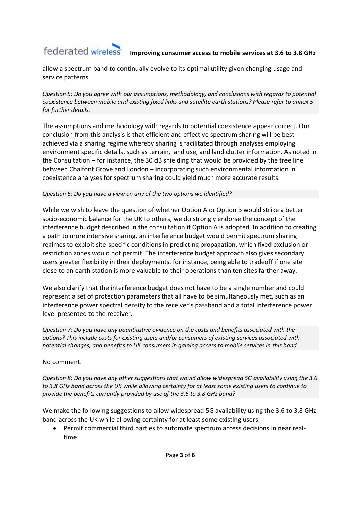## federated wireless<sup>-</sup> **Improving consumer access to mobile services at 3.6 to 3.8 GHz**

allow a spectrum band to continually evolve to its optimal utility given changing usage and service patterns.

*Question 5: Do you agree with our assumptions, methodology, and conclusions with regards to potential coexistence between mobile and existing fixed links and satellite earth stations? Please refer to annex 5 for further details.* 

The assumptions and methodology with regards to potential coexistence appear correct. Our conclusion from this analysis is that efficient and effective spectrum sharing will be best achieved via a sharing regime whereby sharing is facilitated through analyses employing environment specific details, such as terrain, land use, and land clutter information. As noted in the Consultation – for instance, the 30 dB shielding that would be provided by the tree line between Chalfont Grove and London – incorporating such environmental information in coexistence analyses for spectrum sharing could yield much more accurate results.

## *Question 6: Do you have a view on any of the two options we identified?*

While we wish to leave the question of whether Option A or Option B would strike a better socio‐economic balance for the UK to others, we do strongly endorse the concept of the interference budget described in the consultation if Option A is adopted. In addition to creating a path to more intensive sharing, an interference budget would permit spectrum sharing regimes to exploit site‐specific conditions in predicting propagation, which fixed exclusion or restriction zones would not permit. The interference budget approach also gives secondary users greater flexibility in their deployments, for instance, being able to tradeoff if one site close to an earth station is more valuable to their operations than ten sites farther away.

We also clarify that the interference budget does not have to be a single number and could represent a set of protection parameters that all have to be simultaneously met, such as an interference power spectral density to the receiver's passband and a total interference power level presented to the receiver.

*Question 7: Do you have any quantitative evidence on the costs and benefits associated with the options? This include costs for existing users and/or consumers of existing services associated with potential changes, and benefits to UK consumers in gaining access to mobile services in this band.* 

## No comment.

*Question 8: Do you have any other suggestions that would allow widespread 5G availability using the 3.6* to 3.8 GHz band across the UK while allowing certainty for at least some existing users to continue to *provide the benefits currently provided by use of the 3.6 to 3.8 GHz band?*

We make the following suggestions to allow widespread 5G availability using the 3.6 to 3.8 GHz band across the UK while allowing certainty for at least some existing users.

 Permit commercial third parties to automate spectrum access decisions in near real‐ time.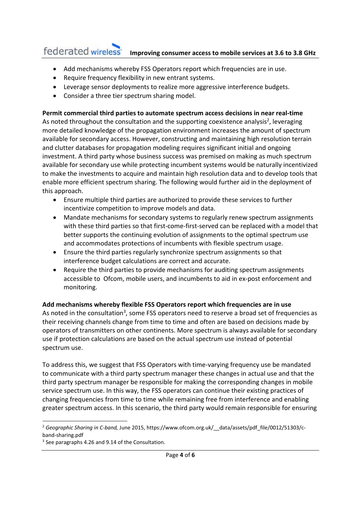#### federated wireless<sup>-</sup> **Improving consumer access to mobile services at 3.6 to 3.8 GHz**

- Add mechanisms whereby FSS Operators report which frequencies are in use.
- Require frequency flexibility in new entrant systems.
- Leverage sensor deployments to realize more aggressive interference budgets.
- Consider a three tier spectrum sharing model.

## **Permit commercial third parties to automate spectrum access decisions in near real‐time**

As noted throughout the consultation and the supporting coexistence analysis<sup>2</sup>, leveraging more detailed knowledge of the propagation environment increases the amount of spectrum available for secondary access. However, constructing and maintaining high resolution terrain and clutter databases for propagation modeling requires significant initial and ongoing investment. A third party whose business success was premised on making as much spectrum available for secondary use while protecting incumbent systems would be naturally incentivized to make the investments to acquire and maintain high resolution data and to develop tools that enable more efficient spectrum sharing. The following would further aid in the deployment of this approach.

- Ensure multiple third parties are authorized to provide these services to further incentivize competition to improve models and data.
- Mandate mechanisms for secondary systems to regularly renew spectrum assignments with these third parties so that first-come-first-served can be replaced with a model that better supports the continuing evolution of assignments to the optimal spectrum use and accommodates protections of incumbents with flexible spectrum usage.
- Ensure the third parties regularly synchronize spectrum assignments so that interference budget calculations are correct and accurate.
- Require the third parties to provide mechanisms for auditing spectrum assignments accessible to Ofcom, mobile users, and incumbents to aid in ex‐post enforcement and monitoring.

## **Add mechanisms whereby flexible FSS Operators report which frequencies are in use**

As noted in the consultation<sup>3</sup>, some FSS operators need to reserve a broad set of frequencies as their receiving channels change from time to time and often are based on decisions made by operators of transmitters on other continents. More spectrum is always available for secondary use if protection calculations are based on the actual spectrum use instead of potential spectrum use.

To address this, we suggest that FSS Operators with time-varying frequency use be mandated to communicate with a third party spectrum manager these changes in actual use and that the third party spectrum manager be responsible for making the corresponding changes in mobile service spectrum use. In this way, the FSS operators can continue their existing practices of changing frequencies from time to time while remaining free from interference and enabling greater spectrum access. In this scenario, the third party would remain responsible for ensuring

 <sup>2</sup> Geographic Sharing in C-band, June 2015, https://www.ofcom.org.uk/ data/assets/pdf\_file/0012/51303/cband‐sharing.pdf

<sup>&</sup>lt;sup>3</sup> See paragraphs 4.26 and 9.14 of the Consultation.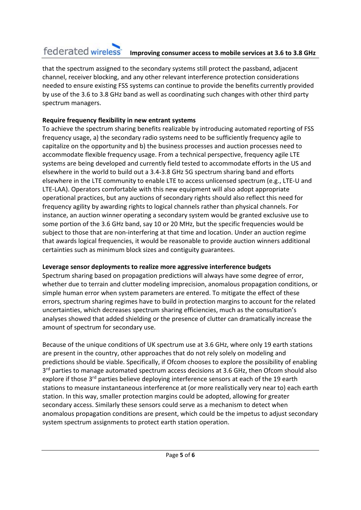## federated wireless<sup>-</sup> **Improving consumer access to mobile services at 3.6 to 3.8 GHz**

that the spectrum assigned to the secondary systems still protect the passband, adjacent channel, receiver blocking, and any other relevant interference protection considerations needed to ensure existing FSS systems can continue to provide the benefits currently provided by use of the 3.6 to 3.8 GHz band as well as coordinating such changes with other third party spectrum managers.

# **Require frequency flexibility in new entrant systems**

To achieve the spectrum sharing benefits realizable by introducing automated reporting of FSS frequency usage, a) the secondary radio systems need to be sufficiently frequency agile to capitalize on the opportunity and b) the business processes and auction processes need to accommodate flexible frequency usage. From a technical perspective, frequency agile LTE systems are being developed and currently field tested to accommodate efforts in the US and elsewhere in the world to build out a 3.4‐3.8 GHz 5G spectrum sharing band and efforts elsewhere in the LTE community to enable LTE to access unlicensed spectrum (e.g., LTE‐U and LTE‐LAA). Operators comfortable with this new equipment will also adopt appropriate operational practices, but any auctions of secondary rights should also reflect this need for frequency agility by awarding rights to logical channels rather than physical channels. For instance, an auction winner operating a secondary system would be granted exclusive use to some portion of the 3.6 GHz band, say 10 or 20 MHz, but the specific frequencies would be subject to those that are non‐interfering at that time and location. Under an auction regime that awards logical frequencies, it would be reasonable to provide auction winners additional certainties such as minimum block sizes and contiguity guarantees.

# **Leverage sensor deployments to realize more aggressive interference budgets**

Spectrum sharing based on propagation predictions will always have some degree of error, whether due to terrain and clutter modeling imprecision, anomalous propagation conditions, or simple human error when system parameters are entered. To mitigate the effect of these errors, spectrum sharing regimes have to build in protection margins to account for the related uncertainties, which decreases spectrum sharing efficiencies, much as the consultation's analyses showed that added shielding or the presence of clutter can dramatically increase the amount of spectrum for secondary use.

Because of the unique conditions of UK spectrum use at 3.6 GHz, where only 19 earth stations are present in the country, other approaches that do not rely solely on modeling and predictions should be viable. Specifically, if Ofcom chooses to explore the possibility of enabling 3<sup>rd</sup> parties to manage automated spectrum access decisions at 3.6 GHz, then Ofcom should also explore if those 3<sup>rd</sup> parties believe deploying interference sensors at each of the 19 earth stations to measure instantaneous interference at (or more realistically very near to) each earth station. In this way, smaller protection margins could be adopted, allowing for greater secondary access. Similarly these sensors could serve as a mechanism to detect when anomalous propagation conditions are present, which could be the impetus to adjust secondary system spectrum assignments to protect earth station operation.